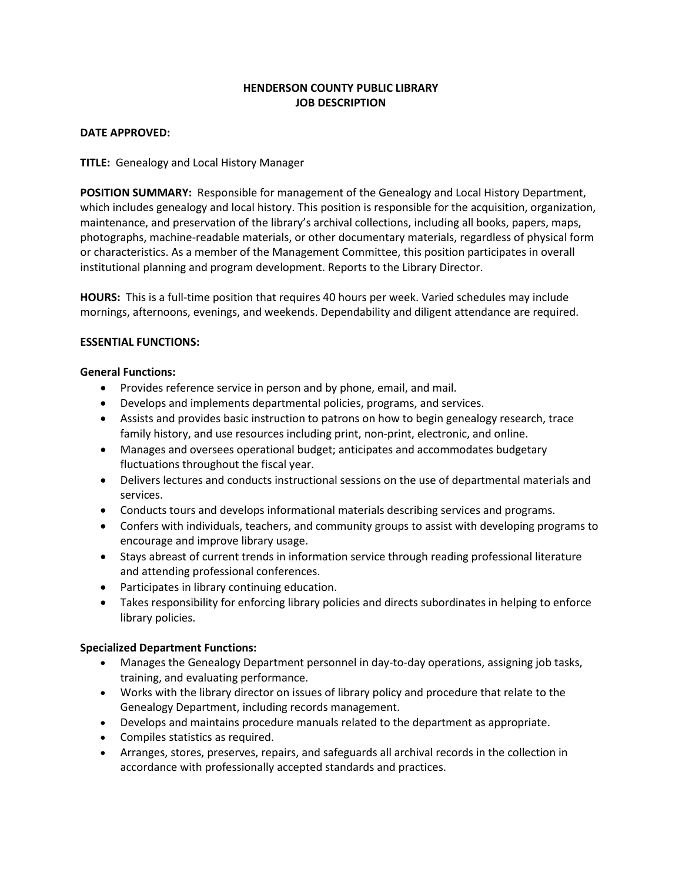# **HENDERSON COUNTY PUBLIC LIBRARY JOB DESCRIPTION**

#### **DATE APPROVED:**

**TITLE:** Genealogy and Local History Manager

**POSITION SUMMARY:** Responsible for management of the Genealogy and Local History Department, which includes genealogy and local history. This position is responsible for the acquisition, organization, maintenance, and preservation of the library's archival collections, including all books, papers, maps, photographs, machine-readable materials, or other documentary materials, regardless of physical form or characteristics. As a member of the Management Committee, this position participates in overall institutional planning and program development. Reports to the Library Director.

**HOURS:** This is a full-time position that requires 40 hours per week. Varied schedules may include mornings, afternoons, evenings, and weekends. Dependability and diligent attendance are required.

## **ESSENTIAL FUNCTIONS:**

## **General Functions:**

- Provides reference service in person and by phone, email, and mail.
- Develops and implements departmental policies, programs, and services.
- Assists and provides basic instruction to patrons on how to begin genealogy research, trace family history, and use resources including print, non-print, electronic, and online.
- Manages and oversees operational budget; anticipates and accommodates budgetary fluctuations throughout the fiscal year.
- Delivers lectures and conducts instructional sessions on the use of departmental materials and services.
- Conducts tours and develops informational materials describing services and programs.
- Confers with individuals, teachers, and community groups to assist with developing programs to encourage and improve library usage.
- Stays abreast of current trends in information service through reading professional literature and attending professional conferences.
- Participates in library continuing education.
- Takes responsibility for enforcing library policies and directs subordinates in helping to enforce library policies.

# **Specialized Department Functions:**

- Manages the Genealogy Department personnel in day-to-day operations, assigning job tasks, training, and evaluating performance.
- Works with the library director on issues of library policy and procedure that relate to the Genealogy Department, including records management.
- Develops and maintains procedure manuals related to the department as appropriate.
- Compiles statistics as required.
- Arranges, stores, preserves, repairs, and safeguards all archival records in the collection in accordance with professionally accepted standards and practices.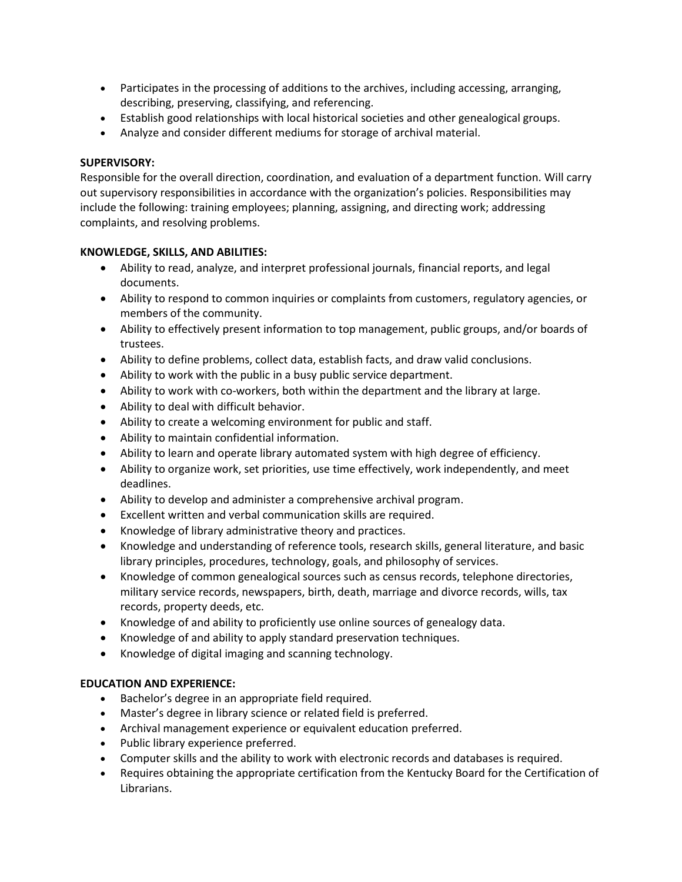- Participates in the processing of additions to the archives, including accessing, arranging, describing, preserving, classifying, and referencing.
- Establish good relationships with local historical societies and other genealogical groups.
- Analyze and consider different mediums for storage of archival material.

# **SUPERVISORY:**

Responsible for the overall direction, coordination, and evaluation of a department function. Will carry out supervisory responsibilities in accordance with the organization's policies. Responsibilities may include the following: training employees; planning, assigning, and directing work; addressing complaints, and resolving problems.

# **KNOWLEDGE, SKILLS, AND ABILITIES:**

- Ability to read, analyze, and interpret professional journals, financial reports, and legal documents.
- Ability to respond to common inquiries or complaints from customers, regulatory agencies, or members of the community.
- Ability to effectively present information to top management, public groups, and/or boards of trustees.
- Ability to define problems, collect data, establish facts, and draw valid conclusions.
- Ability to work with the public in a busy public service department.
- Ability to work with co-workers, both within the department and the library at large.
- Ability to deal with difficult behavior.
- Ability to create a welcoming environment for public and staff.
- Ability to maintain confidential information.
- Ability to learn and operate library automated system with high degree of efficiency.
- Ability to organize work, set priorities, use time effectively, work independently, and meet deadlines.
- Ability to develop and administer a comprehensive archival program.
- Excellent written and verbal communication skills are required.
- Knowledge of library administrative theory and practices.
- Knowledge and understanding of reference tools, research skills, general literature, and basic library principles, procedures, technology, goals, and philosophy of services.
- Knowledge of common genealogical sources such as census records, telephone directories, military service records, newspapers, birth, death, marriage and divorce records, wills, tax records, property deeds, etc.
- Knowledge of and ability to proficiently use online sources of genealogy data.
- Knowledge of and ability to apply standard preservation techniques.
- Knowledge of digital imaging and scanning technology.

# **EDUCATION AND EXPERIENCE:**

- Bachelor's degree in an appropriate field required.
- Master's degree in library science or related field is preferred.
- Archival management experience or equivalent education preferred.
- Public library experience preferred.
- Computer skills and the ability to work with electronic records and databases is required.
- Requires obtaining the appropriate certification from the Kentucky Board for the Certification of Librarians.